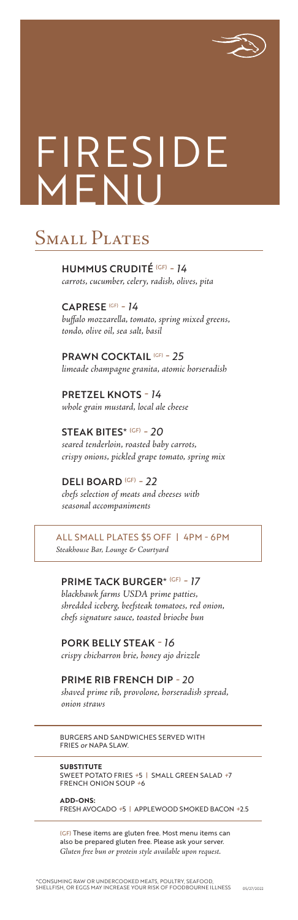BURGERS AND SANDWICHES SERVED WITH FRIES *or* NAPA SLAW.

**SUBSTITUTE** SWEET POTATO FRIES *+*5 | SMALL GREEN SALAD *+*7 FRENCH ONION SOUP *+*6

**ADD-ONS:**  FRESH AVOCADO *+*5 | APPLEWOOD SMOKED BACON *+*2.5

#### PRIME TACK BURGER\* (GF) *- 17*

*blackhawk farms USDA prime patties, shredded iceberg, beefsteak tomatoes, red onion, chefs signature sauce, toasted brioche bun*

PORK BELLY STEAK *- 16*

*crispy chicharron brie, honey ajo drizzle*

#### PRIME RIB FRENCH DIP *- 20*

*shaved prime rib, provolone, horseradish spread, onion straws*

HUMMUS CRUDITÉ (GF) *- 14 carrots, cucumber, celery, radish, olives, pita*

# FIRESIDE  $\Box$

## SMALL PLATES

CAPRESE (GF) *- 14 buffalo mozzarella, tomato, spring mixed greens, tondo, olive oil, sea salt, basil*

PRAWN COCKTAIL (GF) *- 25 limeade champagne granita, atomic horseradish*

PRETZEL KNOTS *- 14 whole grain mustard, local ale cheese*

STEAK BITES\* (GF) *- 20 seared tenderloin, roasted baby carrots, crispy onions, pickled grape tomato, spring mix*

DELI BOARD (GF) *- 22 chefs selection of meats and cheeses with seasonal accompaniments*

ALL SMALL PLATES \$5 OFF | 4PM - 6PM *Steakhouse Bar, Lounge & Courtyard*

(GF) These items are gluten free. Most menu items can also be prepared gluten free. Please ask your server. *Gluten free bun or protein style available upon request.*

\*CONSUMING RAW OR UNDERCOOKED MEATS, POULTRY, SEAFOOD, SHELLFISH, OR EGGS MAY INCREASE YOUR RISK OF FOODBOURNE ILLNESS 05/27/2022